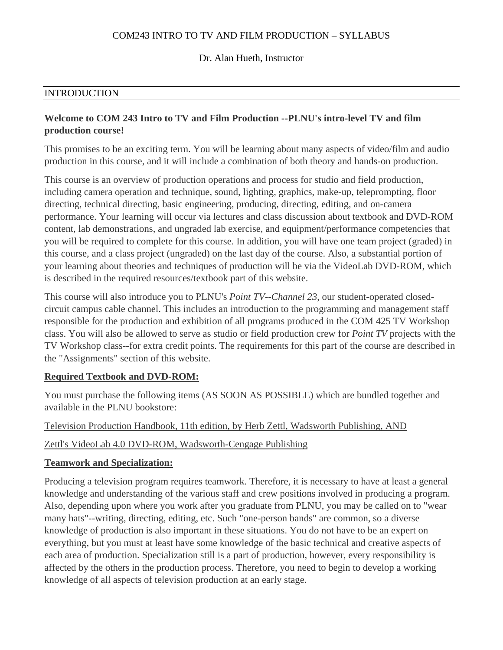### COM243 INTRO TO TV AND FILM PRODUCTION – SYLLABUS

#### Dr. Alan Hueth, Instructor

#### INTRODUCTION

### **Welcome to COM 243 Intro to TV and Film Production --PLNU's intro-level TV and film production course!**

This promises to be an exciting term. You will be learning about many aspects of video/film and audio production in this course, and it will include a combination of both theory and hands-on production.

This course is an overview of production operations and process for studio and field production, including camera operation and technique, sound, lighting, graphics, make-up, teleprompting, floor directing, technical directing, basic engineering, producing, directing, editing, and on-camera performance. Your learning will occur via lectures and class discussion about textbook and DVD-ROM content, lab demonstrations, and ungraded lab exercise, and equipment/performance competencies that you will be required to complete for this course. In addition, you will have one team project (graded) in this course, and a class project (ungraded) on the last day of the course. Also, a substantial portion of your learning about theories and techniques of production will be via the VideoLab DVD-ROM, which is described in the required resources/textbook part of this website.

This course will also introduce you to PLNU's *Point TV--Channel 23*, our student-operated closedcircuit campus cable channel. This includes an introduction to the programming and management staff responsible for the production and exhibition of all programs produced in the COM 425 TV Workshop class. You will also be allowed to serve as studio or field production crew for *Point TV* projects with the TV Workshop class--for extra credit points. The requirements for this part of the course are described in the "Assignments" section of this website.

#### **Required Textbook and DVD-ROM:**

You must purchase the following items (AS SOON AS POSSIBLE) which are bundled together and available in the PLNU bookstore:

#### Television Production Handbook, 11th edition, by Herb Zettl, Wadsworth Publishing, AND

#### Zettl's VideoLab 4.0 DVD-ROM, Wadsworth-Cengage Publishing

#### **Teamwork and Specialization:**

Producing a television program requires teamwork. Therefore, it is necessary to have at least a general knowledge and understanding of the various staff and crew positions involved in producing a program. Also, depending upon where you work after you graduate from PLNU, you may be called on to "wear many hats"--writing, directing, editing, etc. Such "one-person bands" are common, so a diverse knowledge of production is also important in these situations. You do not have to be an expert on everything, but you must at least have some knowledge of the basic technical and creative aspects of each area of production. Specialization still is a part of production, however, every responsibility is affected by the others in the production process. Therefore, you need to begin to develop a working knowledge of all aspects of television production at an early stage.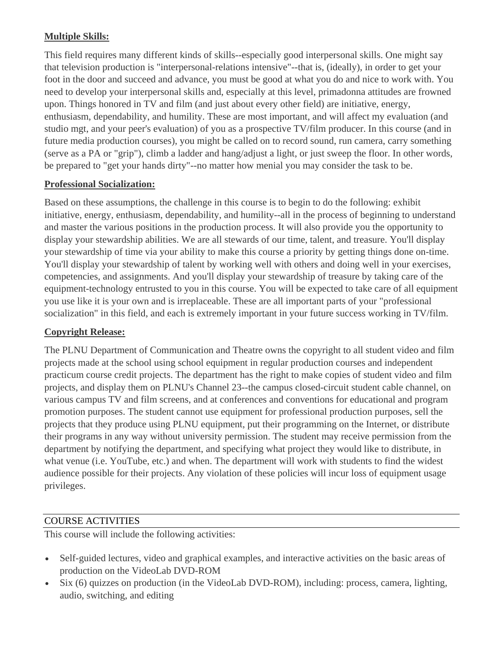# **Multiple Skills:**

This field requires many different kinds of skills--especially good interpersonal skills. One might say that television production is "interpersonal-relations intensive"--that is, (ideally), in order to get your foot in the door and succeed and advance, you must be good at what you do and nice to work with. You need to develop your interpersonal skills and, especially at this level, primadonna attitudes are frowned upon. Things honored in TV and film (and just about every other field) are initiative, energy, enthusiasm, dependability, and humility. These are most important, and will affect my evaluation (and studio mgt, and your peer's evaluation) of you as a prospective TV/film producer. In this course (and in future media production courses), you might be called on to record sound, run camera, carry something (serve as a PA or "grip"), climb a ladder and hang/adjust a light, or just sweep the floor. In other words, be prepared to "get your hands dirty"--no matter how menial you may consider the task to be.

#### **Professional Socialization:**

Based on these assumptions, the challenge in this course is to begin to do the following: exhibit initiative, energy, enthusiasm, dependability, and humility--all in the process of beginning to understand and master the various positions in the production process. It will also provide you the opportunity to display your stewardship abilities. We are all stewards of our time, talent, and treasure. You'll display your stewardship of time via your ability to make this course a priority by getting things done on-time. You'll display your stewardship of talent by working well with others and doing well in your exercises, competencies, and assignments. And you'll display your stewardship of treasure by taking care of the equipment-technology entrusted to you in this course. You will be expected to take care of all equipment you use like it is your own and is irreplaceable. These are all important parts of your "professional socialization" in this field, and each is extremely important in your future success working in TV/film.

#### **Copyright Release:**

The PLNU Department of Communication and Theatre owns the copyright to all student video and film projects made at the school using school equipment in regular production courses and independent practicum course credit projects. The department has the right to make copies of student video and film projects, and display them on PLNU's Channel 23--the campus closed-circuit student cable channel, on various campus TV and film screens, and at conferences and conventions for educational and program promotion purposes. The student cannot use equipment for professional production purposes, sell the projects that they produce using PLNU equipment, put their programming on the Internet, or distribute their programs in any way without university permission. The student may receive permission from the department by notifying the department, and specifying what project they would like to distribute, in what venue (i.e. YouTube, etc.) and when. The department will work with students to find the widest audience possible for their projects. Any violation of these policies will incur loss of equipment usage privileges.

#### COURSE ACTIVITIES

This course will include the following activities:

- Self-guided lectures, video and graphical examples, and interactive activities on the basic areas of production on the VideoLab DVD-ROM
- Six (6) quizzes on production (in the VideoLab DVD-ROM), including: process, camera, lighting, audio, switching, and editing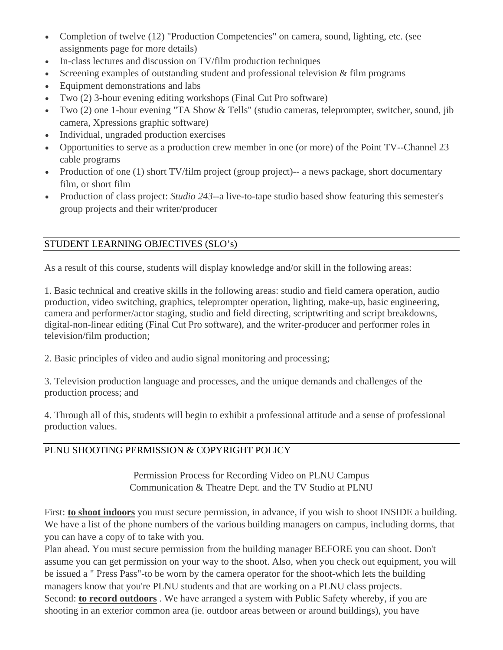- Completion of twelve (12) "Production Competencies" on camera, sound, lighting, etc. (see assignments page for more details)
- In-class lectures and discussion on TV/film production techniques
- Screening examples of outstanding student and professional television & film programs
- Equipment demonstrations and labs
- Two (2) 3-hour evening editing workshops (Final Cut Pro software)
- Two (2) one 1-hour evening "TA Show & Tells" (studio cameras, teleprompter, switcher, sound, jib camera, Xpressions graphic software)
- Individual, ungraded production exercises
- Opportunities to serve as a production crew member in one (or more) of the Point TV--Channel 23 cable programs
- Production of one (1) short TV/film project (group project)-- a news package, short documentary film, or short film
- Production of class project: *Studio 243*--a live-to-tape studio based show featuring this semester's group projects and their writer/producer

# STUDENT LEARNING OBJECTIVES (SLO's)

As a result of this course, students will display knowledge and/or skill in the following areas:

1. Basic technical and creative skills in the following areas: studio and field camera operation, audio production, video switching, graphics, teleprompter operation, lighting, make-up, basic engineering, camera and performer/actor staging, studio and field directing, scriptwriting and script breakdowns, digital-non-linear editing (Final Cut Pro software), and the writer-producer and performer roles in television/film production;

2. Basic principles of video and audio signal monitoring and processing;

3. Television production language and processes, and the unique demands and challenges of the production process; and

4. Through all of this, students will begin to exhibit a professional attitude and a sense of professional production values.

# PLNU SHOOTING PERMISSION & COPYRIGHT POLICY

Permission Process for Recording Video on PLNU Campus Communication & Theatre Dept. and the TV Studio at PLNU

First: **to shoot indoors** you must secure permission, in advance, if you wish to shoot INSIDE a building. We have a list of the phone numbers of the various building managers on campus, including dorms, that you can have a copy of to take with you.

Plan ahead. You must secure permission from the building manager BEFORE you can shoot. Don't assume you can get permission on your way to the shoot. Also, when you check out equipment, you will be issued a " Press Pass"-to be worn by the camera operator for the shoot-which lets the building managers know that you're PLNU students and that are working on a PLNU class projects. Second: **to record outdoors** . We have arranged a system with Public Safety whereby, if you are shooting in an exterior common area (ie. outdoor areas between or around buildings), you have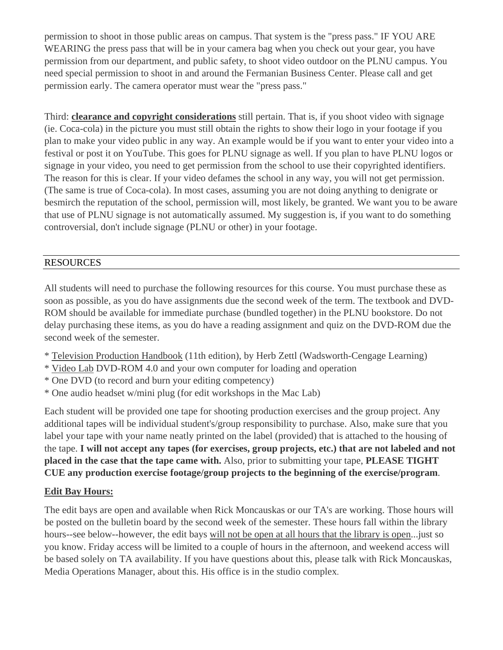permission to shoot in those public areas on campus. That system is the "press pass." IF YOU ARE WEARING the press pass that will be in your camera bag when you check out your gear, you have permission from our department, and public safety, to shoot video outdoor on the PLNU campus. You need special permission to shoot in and around the Fermanian Business Center. Please call and get permission early. The camera operator must wear the "press pass."

Third: **clearance and copyright considerations** still pertain. That is, if you shoot video with signage (ie. Coca-cola) in the picture you must still obtain the rights to show their logo in your footage if you plan to make your video public in any way. An example would be if you want to enter your video into a festival or post it on YouTube. This goes for PLNU signage as well. If you plan to have PLNU logos or signage in your video, you need to get permission from the school to use their copyrighted identifiers. The reason for this is clear. If your video defames the school in any way, you will not get permission. (The same is true of Coca-cola). In most cases, assuming you are not doing anything to denigrate or besmirch the reputation of the school, permission will, most likely, be granted. We want you to be aware that use of PLNU signage is not automatically assumed. My suggestion is, if you want to do something controversial, don't include signage (PLNU or other) in your footage.

## RESOURCES

All students will need to purchase the following resources for this course. You must purchase these as soon as possible, as you do have assignments due the second week of the term. The textbook and DVD-ROM should be available for immediate purchase (bundled together) in the PLNU bookstore. Do not delay purchasing these items, as you do have a reading assignment and quiz on the DVD-ROM due the second week of the semester.

- \* Television Production Handbook (11th edition), by Herb Zettl (Wadsworth-Cengage Learning)
- \* Video Lab DVD-ROM 4.0 and your own computer for loading and operation
- \* One DVD (to record and burn your editing competency)
- \* One audio headset w/mini plug (for edit workshops in the Mac Lab)

Each student will be provided one tape for shooting production exercises and the group project. Any additional tapes will be individual student's/group responsibility to purchase. Also, make sure that you label your tape with your name neatly printed on the label (provided) that is attached to the housing of the tape. **I will not accept any tapes (for exercises, group projects, etc.) that are not labeled and not placed in the case that the tape came with.** Also, prior to submitting your tape, **PLEASE TIGHT CUE any production exercise footage/group projects to the beginning of the exercise/program**.

#### **Edit Bay Hours:**

The edit bays are open and available when Rick Moncauskas or our TA's are working. Those hours will be posted on the bulletin board by the second week of the semester. These hours fall within the library hours--see below--however, the edit bays will not be open at all hours that the library is open...just so you know. Friday access will be limited to a couple of hours in the afternoon, and weekend access will be based solely on TA availability. If you have questions about this, please talk with Rick Moncauskas, Media Operations Manager, about this. His office is in the studio complex.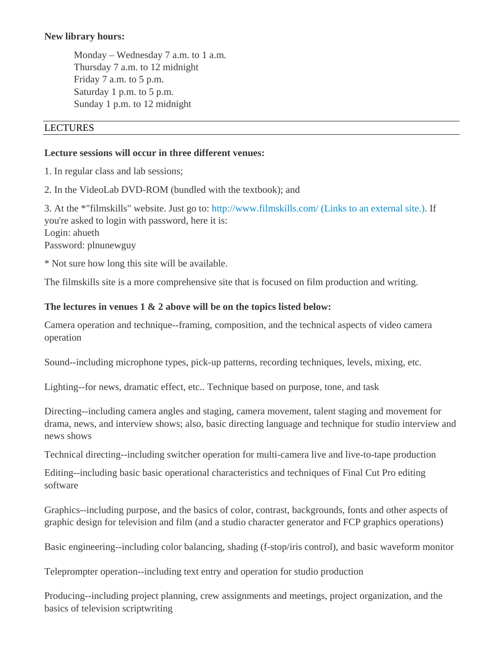#### **New library hours:**

Monday – Wednesday 7 a.m. to 1 a.m. Thursday 7 a.m. to 12 midnight Friday 7 a.m. to 5 p.m. Saturday 1 p.m. to 5 p.m. Sunday 1 p.m. to 12 midnight

#### LECTURES

#### **Lecture sessions will occur in three different venues:**

1. In regular class and lab sessions;

2. In the VideoLab DVD-ROM (bundled with the textbook); and

3. At the \*"filmskills" website. Just go to: http://www.filmskills.com/ (Links to an external site.). If you're asked to login with password, here it is: Login: ahueth Password: plnunewguy

\* Not sure how long this site will be available.

The filmskills site is a more comprehensive site that is focused on film production and writing.

#### **The lectures in venues 1 & 2 above will be on the topics listed below:**

Camera operation and technique--framing, composition, and the technical aspects of video camera operation

Sound--including microphone types, pick-up patterns, recording techniques, levels, mixing, etc.

Lighting--for news, dramatic effect, etc.. Technique based on purpose, tone, and task

Directing--including camera angles and staging, camera movement, talent staging and movement for drama, news, and interview shows; also, basic directing language and technique for studio interview and news shows

Technical directing--including switcher operation for multi-camera live and live-to-tape production

Editing--including basic basic operational characteristics and techniques of Final Cut Pro editing software

Graphics--including purpose, and the basics of color, contrast, backgrounds, fonts and other aspects of graphic design for television and film (and a studio character generator and FCP graphics operations)

Basic engineering--including color balancing, shading (f-stop/iris control), and basic waveform monitor

Teleprompter operation--including text entry and operation for studio production

Producing--including project planning, crew assignments and meetings, project organization, and the basics of television scriptwriting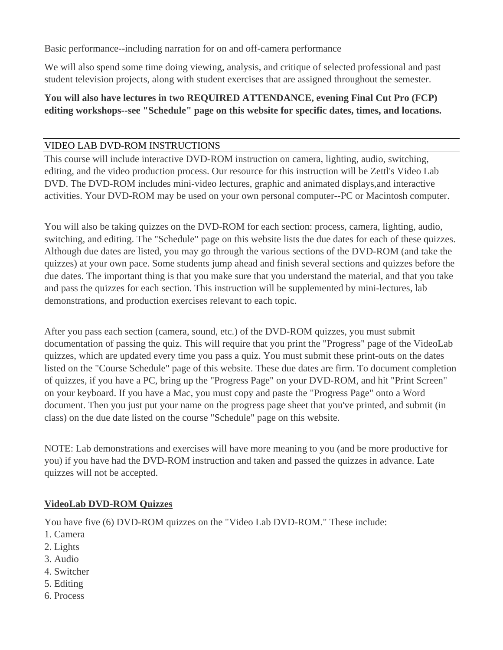Basic performance--including narration for on and off-camera performance

We will also spend some time doing viewing, analysis, and critique of selected professional and past student television projects, along with student exercises that are assigned throughout the semester.

## **You will also have lectures in two REQUIRED ATTENDANCE, evening Final Cut Pro (FCP) editing workshops--see "Schedule" page on this website for specific dates, times, and locations.**

## VIDEO LAB DVD-ROM INSTRUCTIONS

This course will include interactive DVD-ROM instruction on camera, lighting, audio, switching, editing, and the video production process. Our resource for this instruction will be Zettl's Video Lab DVD. The DVD-ROM includes mini-video lectures, graphic and animated displays,and interactive activities. Your DVD-ROM may be used on your own personal computer--PC or Macintosh computer.

You will also be taking quizzes on the DVD-ROM for each section: process, camera, lighting, audio, switching, and editing. The "Schedule" page on this website lists the due dates for each of these quizzes. Although due dates are listed, you may go through the various sections of the DVD-ROM (and take the quizzes) at your own pace. Some students jump ahead and finish several sections and quizzes before the due dates. The important thing is that you make sure that you understand the material, and that you take and pass the quizzes for each section. This instruction will be supplemented by mini-lectures, lab demonstrations, and production exercises relevant to each topic.

After you pass each section (camera, sound, etc.) of the DVD-ROM quizzes, you must submit documentation of passing the quiz. This will require that you print the "Progress" page of the VideoLab quizzes, which are updated every time you pass a quiz. You must submit these print-outs on the dates listed on the "Course Schedule" page of this website. These due dates are firm. To document completion of quizzes, if you have a PC, bring up the "Progress Page" on your DVD-ROM, and hit "Print Screen" on your keyboard. If you have a Mac, you must copy and paste the "Progress Page" onto a Word document. Then you just put your name on the progress page sheet that you've printed, and submit (in class) on the due date listed on the course "Schedule" page on this website.

NOTE: Lab demonstrations and exercises will have more meaning to you (and be more productive for you) if you have had the DVD-ROM instruction and taken and passed the quizzes in advance. Late quizzes will not be accepted.

# **VideoLab DVD-ROM Quizzes**

You have five (6) DVD-ROM quizzes on the "Video Lab DVD-ROM." These include:

- 1. Camera
- 2. Lights
- 3. Audio
- 4. Switcher
- 5. Editing
- 6. Process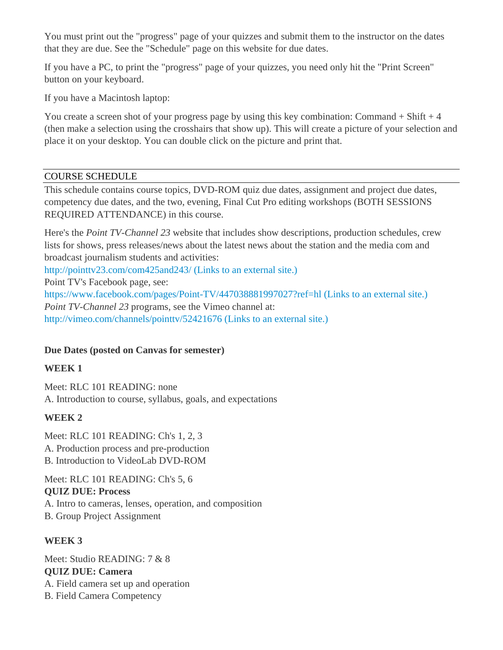You must print out the "progress" page of your quizzes and submit them to the instructor on the dates that they are due. See the "Schedule" page on this website for due dates.

If you have a PC, to print the "progress" page of your quizzes, you need only hit the "Print Screen" button on your keyboard.

If you have a Macintosh laptop:

You create a screen shot of your progress page by using this key combination: Command  $+$  Shift  $+4$ (then make a selection using the crosshairs that show up). This will create a picture of your selection and place it on your desktop. You can double click on the picture and print that.

## COURSE SCHEDULE

This schedule contains course topics, DVD-ROM quiz due dates, assignment and project due dates, competency due dates, and the two, evening, Final Cut Pro editing workshops (BOTH SESSIONS REQUIRED ATTENDANCE) in this course.

Here's the *Point TV-Channel 23* website that includes show descriptions, production schedules, crew lists for shows, press releases/news about the latest news about the station and the media com and broadcast journalism students and activities:

http://pointtv23.com/com425and243/ (Links to an external site.)

Point TV's Facebook page, see:

https://www.facebook.com/pages/Point-TV/447038881997027?ref=hl (Links to an external site.) *Point TV-Channel 23* programs, see the Vimeo channel at: http://vimeo.com/channels/pointtv/52421676 (Links to an external site.)

# **Due Dates (posted on Canvas for semester)**

# **WEEK 1**

Meet: RLC 101 READING: none A. Introduction to course, syllabus, goals, and expectations

# **WEEK 2**

Meet: RLC 101 READING: Ch's 1, 2, 3 A. Production process and pre-production B. Introduction to VideoLab DVD-ROM

Meet: RLC 101 READING: Ch's 5, 6 **QUIZ DUE: Process** A. Intro to cameras, lenses, operation, and composition B. Group Project Assignment

# **WEEK 3**

Meet: Studio READING: 7 & 8 **QUIZ DUE: Camera** A. Field camera set up and operation B. Field Camera Competency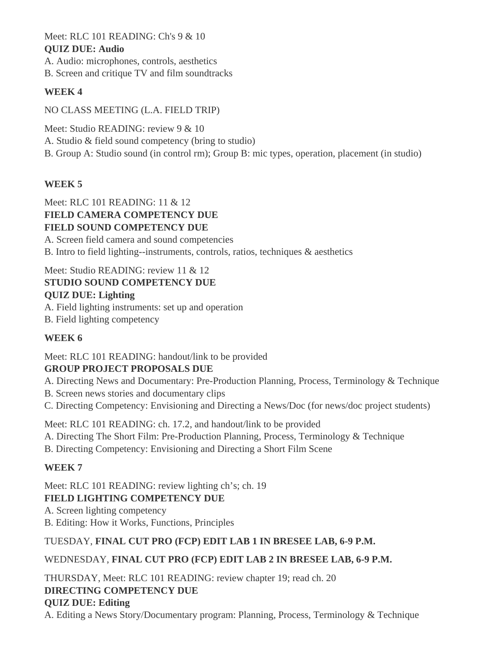Meet: RLC 101 READING: Ch's 9 & 10

## **QUIZ DUE: Audio**

A. Audio: microphones, controls, aesthetics B. Screen and critique TV and film soundtracks

# **WEEK 4**

NO CLASS MEETING (L.A. FIELD TRIP)

Meet: Studio READING: review 9 & 10 A. Studio & field sound competency (bring to studio) B. Group A: Studio sound (in control rm); Group B: mic types, operation, placement (in studio)

# **WEEK 5**

Meet: RLC 101 READING: 11 & 12 **FIELD CAMERA COMPETENCY DUE FIELD SOUND COMPETENCY DUE** A. Screen field camera and sound competencies

B. Intro to field lighting--instruments, controls, ratios, techniques & aesthetics

# Meet: Studio READING: review 11 & 12

# **STUDIO SOUND COMPETENCY DUE**

# **QUIZ DUE: Lighting**

- A. Field lighting instruments: set up and operation
- B. Field lighting competency

# **WEEK 6**

# Meet: RLC 101 READING: handout/link to be provided

# **GROUP PROJECT PROPOSALS DUE**

A. Directing News and Documentary: Pre-Production Planning, Process, Terminology & Technique

- B. Screen news stories and documentary clips
- C. Directing Competency: Envisioning and Directing a News/Doc (for news/doc project students)

Meet: RLC 101 READING: ch. 17.2, and handout/link to be provided

- A. Directing The Short Film: Pre-Production Planning, Process, Terminology & Technique
- B. Directing Competency: Envisioning and Directing a Short Film Scene

# **WEEK 7**

Meet: RLC 101 READING: review lighting ch's; ch. 19 **FIELD LIGHTING COMPETENCY DUE** A. Screen lighting competency B. Editing: How it Works, Functions, Principles

# TUESDAY, **FINAL CUT PRO (FCP) EDIT LAB 1 IN BRESEE LAB, 6-9 P.M.**

# WEDNESDAY, **FINAL CUT PRO (FCP) EDIT LAB 2 IN BRESEE LAB, 6-9 P.M.**

THURSDAY, Meet: RLC 101 READING: review chapter 19; read ch. 20 **DIRECTING COMPETENCY DUE QUIZ DUE: Editing** A. Editing a News Story/Documentary program: Planning, Process, Terminology & Technique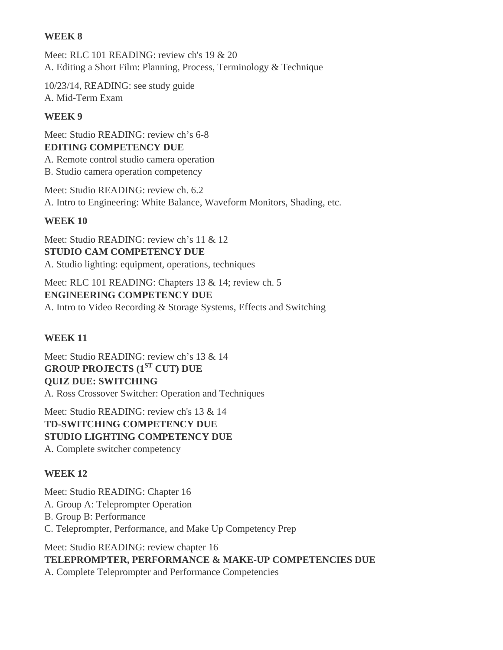### **WEEK 8**

Meet: RLC 101 READING: review ch's 19 & 20 A. Editing a Short Film: Planning, Process, Terminology & Technique

10/23/14, READING: see study guide A. Mid-Term Exam

### **WEEK 9**

Meet: Studio READING: review ch's 6-8 **EDITING COMPETENCY DUE**  A. Remote control studio camera operation B. Studio camera operation competency

Meet: Studio READING: review ch. 6.2 A. Intro to Engineering: White Balance, Waveform Monitors, Shading, etc.

## **WEEK 10**

Meet: Studio READING: review ch's 11 & 12 **STUDIO CAM COMPETENCY DUE**  A. Studio lighting: equipment, operations, techniques

Meet: RLC 101 READING: Chapters 13 & 14; review ch. 5 **ENGINEERING COMPETENCY DUE**  A. Intro to Video Recording & Storage Systems, Effects and Switching

# **WEEK 11**

Meet: Studio READING: review ch's 13 & 14 **GROUP PROJECTS (1ST CUT) DUE QUIZ DUE: SWITCHING** A. Ross Crossover Switcher: Operation and Techniques

Meet: Studio READING: review ch's 13 & 14 **TD-SWITCHING COMPETENCY DUE STUDIO LIGHTING COMPETENCY DUE** A. Complete switcher competency

# **WEEK 12**

Meet: Studio READING: Chapter 16 A. Group A: Teleprompter Operation B. Group B: Performance C. Teleprompter, Performance, and Make Up Competency Prep

Meet: Studio READING: review chapter 16 **TELEPROMPTER, PERFORMANCE & MAKE-UP COMPETENCIES DUE** A. Complete Teleprompter and Performance Competencies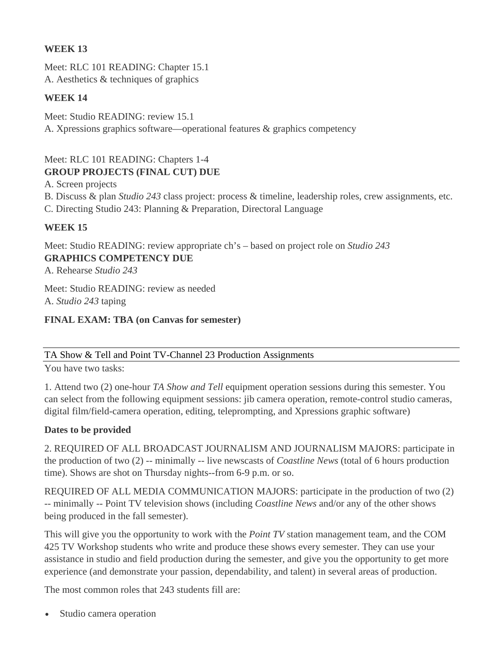### **WEEK 13**

Meet: RLC 101 READING: Chapter 15.1 A. Aesthetics & techniques of graphics

### **WEEK 14**

Meet: Studio READING: review 15.1 A. Xpressions graphics software—operational features & graphics competency

# Meet: RLC 101 READING: Chapters 1-4 **GROUP PROJECTS (FINAL CUT) DUE**

A. Screen projects

- B. Discuss & plan *Studio 243* class project: process & timeline, leadership roles, crew assignments, etc.
- C. Directing Studio 243: Planning & Preparation, Directoral Language

# **WEEK 15**

Meet: Studio READING: review appropriate ch's – based on project role on *Studio 243* **GRAPHICS COMPETENCY DUE**

A. Rehearse *Studio 243*

Meet: Studio READING: review as needed A. *Studio 243* taping

### **FINAL EXAM: TBA (on Canvas for semester)**

#### TA Show & Tell and Point TV-Channel 23 Production Assignments

You have two tasks:

1. Attend two (2) one-hour *TA Show and Tell* equipment operation sessions during this semester. You can select from the following equipment sessions: jib camera operation, remote-control studio cameras, digital film/field-camera operation, editing, teleprompting, and Xpressions graphic software)

#### **Dates to be provided**

2. REQUIRED OF ALL BROADCAST JOURNALISM AND JOURNALISM MAJORS: participate in the production of two (2) -- minimally -- live newscasts of *Coastline News* (total of 6 hours production time). Shows are shot on Thursday nights--from 6-9 p.m. or so.

REQUIRED OF ALL MEDIA COMMUNICATION MAJORS: participate in the production of two (2) -- minimally -- Point TV television shows (including *Coastline News* and/or any of the other shows being produced in the fall semester).

This will give you the opportunity to work with the *Point TV* station management team, and the COM 425 TV Workshop students who write and produce these shows every semester. They can use your assistance in studio and field production during the semester, and give you the opportunity to get more experience (and demonstrate your passion, dependability, and talent) in several areas of production.

The most common roles that 243 students fill are:

Studio camera operation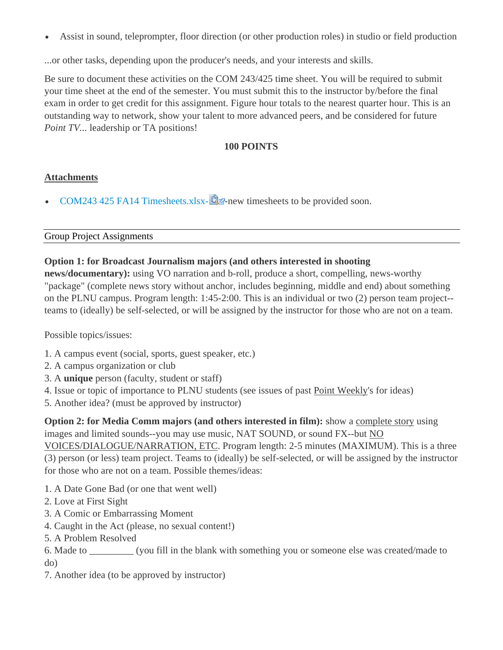Assist in sound, teleprompter, floor direction (or other production roles) in studio or field production

...or other tasks, depending upon the producer's needs, and your interests and skills.

Be sure to document these activities on the COM 243/425 time sheet. You will be required to submit your time sheet at the end of the semester. You must submit this to the instructor by/before the final exam in order to get credit for this assignment. Figure hour totals to the nearest quarter hour. This is an outstanding way to network, show your talent to more advanced peers, and be considered for future *Point TV...* leadership or TA positions!

### 100 POINTS

#### **Attachments**

COM243 425 FA14 Timesheets.xlsx- $\mathbb{Q}$ -new timesheets to be provided soon.

#### **Group Project Assignments**

#### Option 1: for Broadcast Journalism majors (and others interested in shooting

**news/documentary):** using VO narration and b-roll, produce a short, compelling, news-worthy "package" (complete news story without anchor, includes beginning, middle and end) about something on the PLNU campus. Program length:  $1:45-2:00$ . This is an individual or two  $(2)$  person team project-teams to (ideally) be self-selected, or will be assigned by the instructor for those who are not on a team.

Possible topics/issues:

- 1. A campus event (social, sports, guest speaker, etc.)
- 2. A campus organization or club
- 3. A unique person (faculty, student or staff)
- 4. Issue or topic of importance to PLNU students (see issues of past Point Weekly's for ideas)
- 5. Another idea? (must be approved by instructor)

**Option 2: for Media Comm majors (and others interested in film):** show a complete story using images and limited sounds-you may use music, NAT SOUND, or sound FX-but NO

VOICES/DIALOGUE/NARRATION, ETC. Program length: 2-5 minutes (MAXIMUM). This is a three (3) person (or less) team project. Teams to (ideally) be self-selected, or will be assigned by the instructor for those who are not on a team. Possible themes/ideas:

- 1. A Date Gone Bad (or one that went well)
- 2. Love at First Sight
- 3. A Comic or Embarrassing Moment
- 4. Caught in the Act (please, no sexual content!)
- 5. A Problem Resolved
- 6. Made to \_\_\_\_\_\_\_\_\_\_ (you fill in the blank with something you or someone else was created/made to  $d<sub>O</sub>$
- 7. Another idea (to be approved by instructor)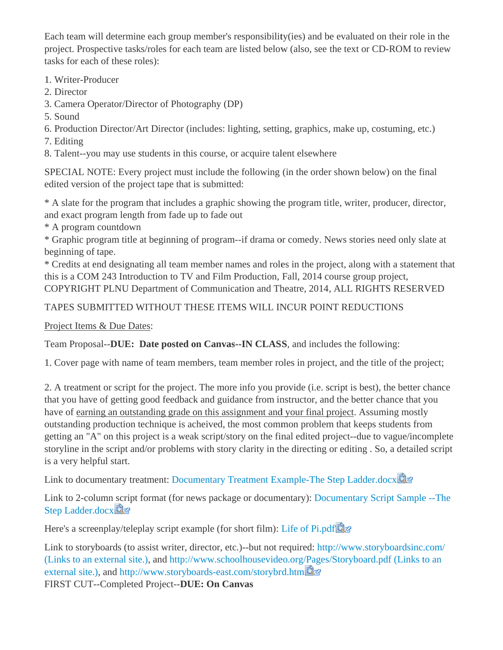Each team will determine each group member's responsibility(ies) and be evaluated on their role in the project. Prospective tasks/roles for each team are listed below (also, see the text or CD-ROM to review tasks for each of these roles):

- 1. Writer-Producer
- 2. Director
- 3. Camera Operator/Director of Photography (DP)
- 5. Sound
- 6. Production Director/Art Director (includes: lighting, setting, graphics, make up, costuming, etc.)
- 7. Editing
- 8. Talent--you may use students in this course, or acquire talent elsewhere

SPECIAL NOTE: Every project must include the following (in the order shown below) on the final edited version of the project tape that is submitted:

\* A slate for the program that includes a graphic showing the program title, writer, producer, director, and exact program length from fade up to fade out

\* A program countdown

\* Graphic program title at beginning of program--if drama or comedy. News stories need only slate at beginning of tape.

\* Credits at end designating all team member names and roles in the project, along with a statement that this is a COM 243 Introduction to TV and Film Production, Fall, 2014 course group project, COPYRIGHT PLNU Department of Communication and Theatre, 2014, ALL RIGHTS RESERVED

# TAPES SUBMITTED WITHOUT THESE ITEMS WILL INCUR POINT REDUCTIONS

Project Items & Due Dates:

Team Proposal--DUE: Date posted on Canvas--IN CLASS, and includes the following:

1. Cover page with name of team members, team member roles in project, and the title of the project;

2. A treatment or script for the project. The more info you provide (i.e. script is best), the better chance that you have of getting good feedback and guidance from instructor, and the better chance that you have of earning an outstanding grade on this assignment and your final project. Assuming mostly outstanding production technique is acheived, the most common problem that keeps students from getting an "A" on this project is a weak script/story on the final edited project--due to vague/incomplete storyline in the script and/or problems with story clarity in the directing or editing. So, a detailed script is a very helpful start.

Link to documentary treatment: Documentary Treatment Example-The Step Ladder.docx

Link to 2-column script format (for news package or documentary): Documentary Script Sample --The Step Ladder.docx

Here's a screenplay/teleplay script example (for short film): Life of Pi.pdf

Link to storyboards (to assist writer, director, etc.)--but not required: http://www.storyboardsinc.com/ (Links to an external site.), and http://www.schoolhousevideo.org/Pages/Storyboard.pdf (Links to an external site.), and http://www.storyboards-east.com/storybrd.htm

FIRST CUT--Completed Project--DUE: On Canvas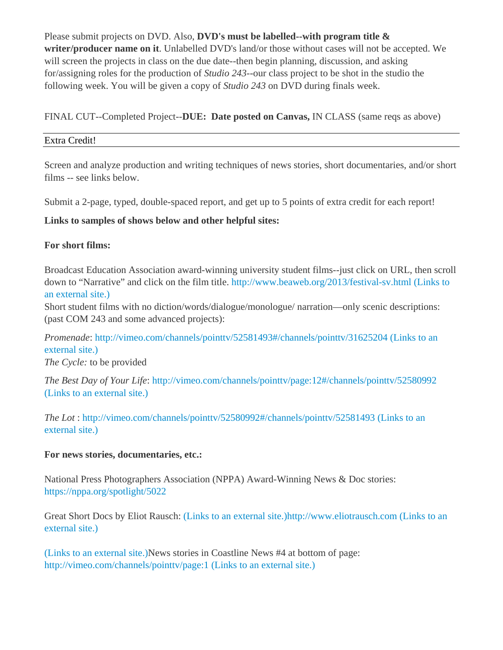Please submit projects on DVD. Also, **DVD's must be labelled--with program title & writer/producer name on it**. Unlabelled DVD's land/or those without cases will not be accepted. We will screen the projects in class on the due date--then begin planning, discussion, and asking for/assigning roles for the production of *Studio 243*--our class project to be shot in the studio the following week. You will be given a copy of *Studio 243* on DVD during finals week.

FINAL CUT--Completed Project--**DUE: Date posted on Canvas,** IN CLASS (same reqs as above)

### Extra Credit!

Screen and analyze production and writing techniques of news stories, short documentaries, and/or short films -- see links below.

Submit a 2-page, typed, double-spaced report, and get up to 5 points of extra credit for each report!

## **Links to samples of shows below and other helpful sites:**

## **For short films:**

Broadcast Education Association award-winning university student films--just click on URL, then scroll down to "Narrative" and click on the film title. http://www.beaweb.org/2013/festival-sv.html (Links to an external site.)

Short student films with no diction/words/dialogue/monologue/ narration—only scenic descriptions: (past COM 243 and some advanced projects):

*Promenade*: http://vimeo.com/channels/pointtv/52581493#/channels/pointtv/31625204 (Links to an external site.)

*The Cycle:* to be provided

*The Best Day of Your Life*: http://vimeo.com/channels/pointtv/page:12#/channels/pointtv/52580992 (Links to an external site.)

*The Lot* : http://vimeo.com/channels/pointtv/52580992#/channels/pointtv/52581493 (Links to an external site.)

#### **For news stories, documentaries, etc.:**

National Press Photographers Association (NPPA) Award-Winning News & Doc stories: https://nppa.org/spotlight/5022

Great Short Docs by Eliot Rausch: (Links to an external site.)http://www.eliotrausch.com (Links to an external site.)

(Links to an external site.)News stories in Coastline News #4 at bottom of page: http://vimeo.com/channels/pointtv/page:1 (Links to an external site.)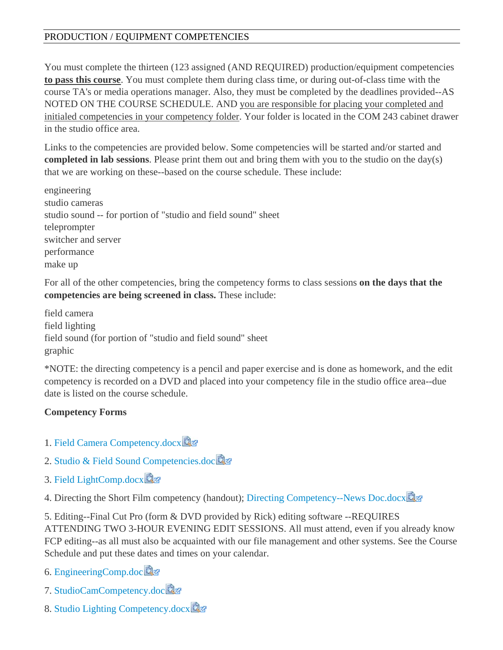# PRODUCTION / EQUIPMENT COMPETENCIES

You must complete the thirteen (123 assigned (AND REQUIRED) production/equipment competencies to pass this course. You must complete them during class time, or during out-of-class time with the course TA's or media operations manager. Also, they must be completed by the deadlines provided--AS NOTED ON THE COURSE SCHEDULE. AND you are responsible for placing your completed and initialed competencies in your competency folder. Your folder is located in the COM 243 cabinet drawer in the studio office area

Links to the competencies are provided below. Some competencies will be started and/or started and **completed in lab sessions.** Please print them out and bring them with you to the studio on the day(s) that we are working on these--based on the course schedule. These include:

engineering studio cameras studio sound -- for portion of "studio and field sound" sheet teleprompter switcher and server performance make up

For all of the other competencies, bring the competency forms to class sessions on the days that the competencies are being screened in class. These include:

field camera field lighting field sound (for portion of "studio and field sound" sheet graphic

\*NOTE: the directing competency is a pencil and paper exercise and is done as homework, and the edit competency is recorded on a DVD and placed into your competency file in the studio office area--due date is listed on the course schedule.

#### **Competency Forms**

- 1. Field Camera Competency.docx
- 2. Studio & Field Sound Competencies.doc
- 3. Field LightComp.docx

4. Directing the Short Film competency (handout); Directing Competency--News Doc.docx

5. Editing--Final Cut Pro (form & DVD provided by Rick) editing software --REQUIRES ATTENDING TWO 3-HOUR EVENING EDIT SESSIONS. All must attend, even if you already know FCP editing--as all must also be acquainted with our file management and other systems. See the Course Schedule and put these dates and times on your calendar.

6. EngineeringComp.doc

- 7. StudioCamCompetency.doc
- 8. Studio Lighting Competency.docx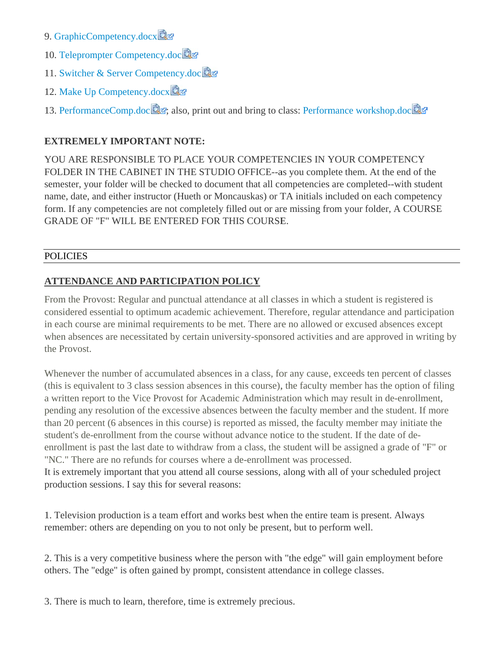- 9. GraphicCompetency.docx
- 10. Teleprompter Competency.doc
- 11. Switcher & Server Competency.doc
- 12. Make Up Competency.docx
- 13. PerformanceComp.doc **Q**<sub>3</sub>, also, print out and bring to class: Performance workshop.doc

## **EXTREMELY IMPORTANT NOTE:**

YOU ARE RESPONSIBLE TO PLACE YOUR COMPETENCIES IN YOUR COMPETENCY FOLDER IN THE CABINET IN THE STUDIO OFFICE--as you complete them. At the end of the semester, your folder will be checked to document that all competencies are completed--with student name, date, and either instructor (Hueth or Moncauskas) or TA initials included on each competency form. If any competencies are not completely filled out or are missing from your folder, A COURSE **GRADE OF "F" WILL BE ENTERED FOR THIS COURSE.** 

#### **POLICIES**

## **ATTENDANCE AND PARTICIPATION POLICY**

From the Provost: Regular and punctual attendance at all classes in which a student is registered is considered essential to optimum academic achievement. Therefore, regular attendance and participation in each course are minimal requirements to be met. There are no allowed or excused absences except when absences are necessitated by certain university-sponsored activities and are approved in writing by the Provost.

Whenever the number of accumulated absences in a class, for any cause, exceeds ten percent of classes (this is equivalent to 3 class session absences in this course), the faculty member has the option of filing a written report to the Vice Provost for Academic Administration which may result in de-enrollment, pending any resolution of the excessive absences between the faculty member and the student. If more than 20 percent (6 absences in this course) is reported as missed, the faculty member may initiate the student's de-enrollment from the course without advance notice to the student. If the date of deenrollment is past the last date to withdraw from a class, the student will be assigned a grade of "F" or "NC." There are no refunds for courses where a de-enrollment was processed. It is extremely important that you attend all course sessions, along with all of your scheduled project production sessions. I say this for several reasons:

1. Television production is a team effort and works best when the entire team is present. Always

remember: others are depending on you to not only be present, but to perform well.

2. This is a very competitive business where the person with "the edge" will gain employment before others. The "edge" is often gained by prompt, consistent attendance in college classes.

3. There is much to learn, therefore, time is extremely precious.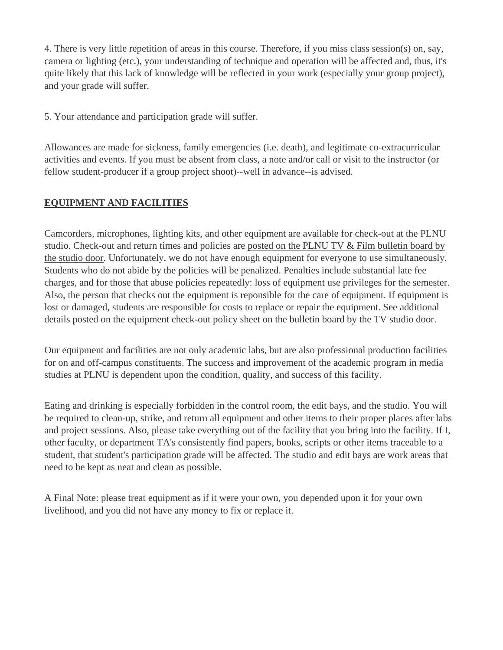4. There is very little repetition of areas in this course. Therefore, if you miss class session(s) on, say, camera or lighting (etc.), your understanding of technique and operation will be affected and, thus, it's quite likely that this lack of knowledge will be reflected in your work (especially your group project), and your grade will suffer.

5. Your attendance and participation grade will suffer.

Allowances are made for sickness, family emergencies (i.e. death), and legitimate co-extracurricular activities and events. If you must be absent from class, a note and/or call or visit to the instructor (or fellow student-producer if a group project shoot)--well in advance--is advised.

# **EQUIPMENT AND FACILITIES**

Camcorders, microphones, lighting kits, and other equipment are available for check-out at the PLNU studio. Check-out and return times and policies are posted on the PLNU TV & Film bulletin board by the studio door. Unfortunately, we do not have enough equipment for everyone to use simultaneously. Students who do not abide by the policies will be penalized. Penalties include substantial late fee charges, and for those that abuse policies repeatedly: loss of equipment use privileges for the semester. Also, the person that checks out the equipment is reponsible for the care of equipment. If equipment is lost or damaged, students are responsible for costs to replace or repair the equipment. See additional details posted on the equipment check-out policy sheet on the bulletin board by the TV studio door.

Our equipment and facilities are not only academic labs, but are also professional production facilities for on and off-campus constituents. The success and improvement of the academic program in media studies at PLNU is dependent upon the condition, quality, and success of this facility.

Eating and drinking is especially forbidden in the control room, the edit bays, and the studio. You will be required to clean-up, strike, and return all equipment and other items to their proper places after labs and project sessions. Also, please take everything out of the facility that you bring into the facility. If I, other faculty, or department TA's consistently find papers, books, scripts or other items traceable to a student, that student's participation grade will be affected. The studio and edit bays are work areas that need to be kept as neat and clean as possible.

A Final Note: please treat equipment as if it were your own, you depended upon it for your own livelihood, and you did not have any money to fix or replace it.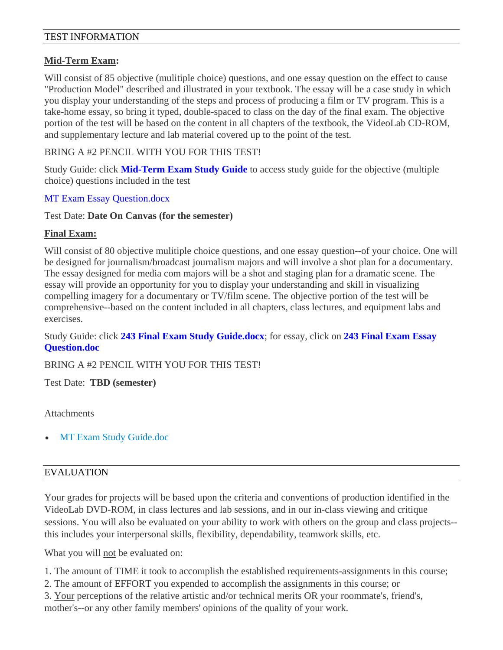#### TEST INFORMATION

#### **Mid-Term Exam:**

Will consist of 85 objective (mulitiple choice) questions, and one essay question on the effect to cause "Production Model" described and illustrated in your textbook. The essay will be a case study in which you display your understanding of the steps and process of producing a film or TV program. This is a take-home essay, so bring it typed, double-spaced to class on the day of the final exam. The objective portion of the test will be based on the content in all chapters of the textbook, the VideoLab CD-ROM, and supplementary lecture and lab material covered up to the point of the test.

BRING A #2 PENCIL WITH YOU FOR THIS TEST!

Study Guide: click **Mid-Term Exam Study Guide** to access study guide for the objective (multiple choice) questions included in the test

#### MT Exam Essay Question.docx

#### Test Date: **Date On Canvas (for the semester)**

#### **Final Exam:**

Will consist of 80 objective mulitiple choice questions, and one essay question--of your choice. One will be designed for journalism/broadcast journalism majors and will involve a shot plan for a documentary. The essay designed for media com majors will be a shot and staging plan for a dramatic scene. The essay will provide an opportunity for you to display your understanding and skill in visualizing compelling imagery for a documentary or TV/film scene. The objective portion of the test will be comprehensive--based on the content included in all chapters, class lectures, and equipment labs and exercises.

Study Guide: click **243 Final Exam Study Guide.docx**; for essay, click on **243 Final Exam Essay Question.doc**

BRING A #2 PENCIL WITH YOU FOR THIS TEST!

Test Date: **TBD (semester)**

#### **Attachments**

MT Exam Study Guide.doc

#### EVALUATION

Your grades for projects will be based upon the criteria and conventions of production identified in the VideoLab DVD-ROM, in class lectures and lab sessions, and in our in-class viewing and critique sessions. You will also be evaluated on your ability to work with others on the group and class projects- this includes your interpersonal skills, flexibility, dependability, teamwork skills, etc.

What you will not be evaluated on:

1. The amount of TIME it took to accomplish the established requirements-assignments in this course;

- 2. The amount of EFFORT you expended to accomplish the assignments in this course; or
- 3. Your perceptions of the relative artistic and/or technical merits OR your roommate's, friend's,

mother's--or any other family members' opinions of the quality of your work.